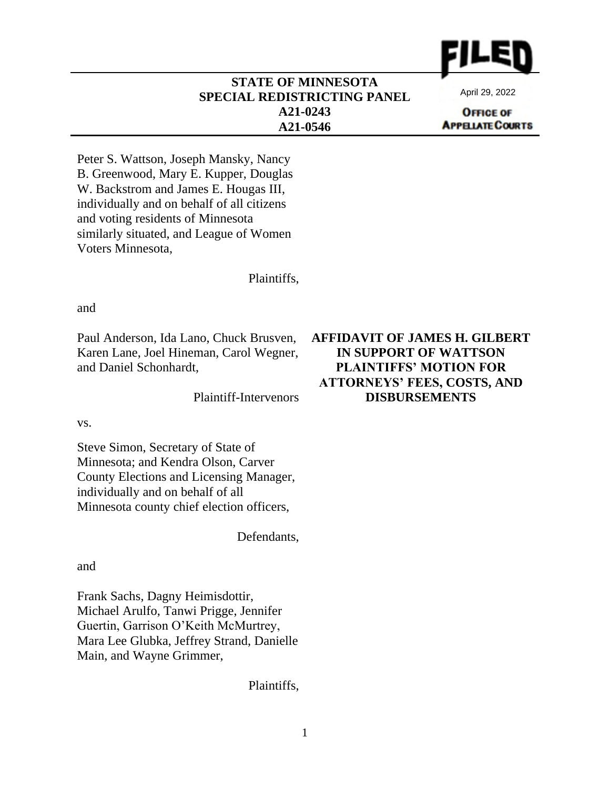

## **STATE OF MINNESOTA SPECIAL REDISTRICTING PANEL A21-0243 A21-0546**

April 29, 2022

**OFFICE OF APPELATE COURTS** 

Peter S. Wattson, Joseph Mansky, Nancy B. Greenwood, Mary E. Kupper, Douglas W. Backstrom and James E. Hougas III, individually and on behalf of all citizens and voting residents of Minnesota similarly situated, and League of Women Voters Minnesota,

Plaintiffs,

and

Paul Anderson, Ida Lano, Chuck Brusven, Karen Lane, Joel Hineman, Carol Wegner, and Daniel Schonhardt,

Plaintiff-Intervenors

vs.

Steve Simon, Secretary of State of Minnesota; and Kendra Olson, Carver County Elections and Licensing Manager, individually and on behalf of all Minnesota county chief election officers,

Defendants,

and

Frank Sachs, Dagny Heimisdottir, Michael Arulfo, Tanwi Prigge, Jennifer Guertin, Garrison O'Keith McMurtrey, Mara Lee Glubka, Jeffrey Strand, Danielle Main, and Wayne Grimmer,

Plaintiffs,

## **AFFIDAVIT OF JAMES H. GILBERT IN SUPPORT OF WATTSON PLAINTIFFS' MOTION FOR ATTORNEYS' FEES, COSTS, AND DISBURSEMENTS**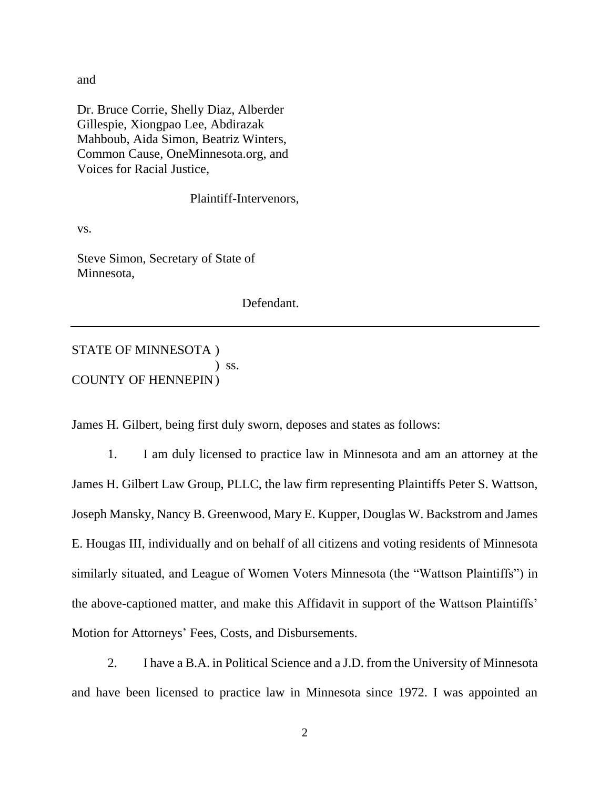and

Dr. Bruce Corrie, Shelly Diaz, Alberder Gillespie, Xiongpao Lee, Abdirazak Mahboub, Aida Simon, Beatriz Winters, Common Cause, OneMinnesota.org, and Voices for Racial Justice,

Plaintiff-Intervenors,

vs.

Steve Simon, Secretary of State of Minnesota,

Defendant.

## STATE OF MINNESOTA ) ) ss. COUNTY OF HENNEPIN)

James H. Gilbert, being first duly sworn, deposes and states as follows:

1. I am duly licensed to practice law in Minnesota and am an attorney at the James H. Gilbert Law Group, PLLC, the law firm representing Plaintiffs Peter S. Wattson, Joseph Mansky, Nancy B. Greenwood, Mary E. Kupper, Douglas W. Backstrom and James E. Hougas III, individually and on behalf of all citizens and voting residents of Minnesota similarly situated, and League of Women Voters Minnesota (the "Wattson Plaintiffs") in the above-captioned matter, and make this Affidavit in support of the Wattson Plaintiffs' Motion for Attorneys' Fees, Costs, and Disbursements.

2. I have a B.A. in Political Science and a J.D. from the University of Minnesota and have been licensed to practice law in Minnesota since 1972. I was appointed an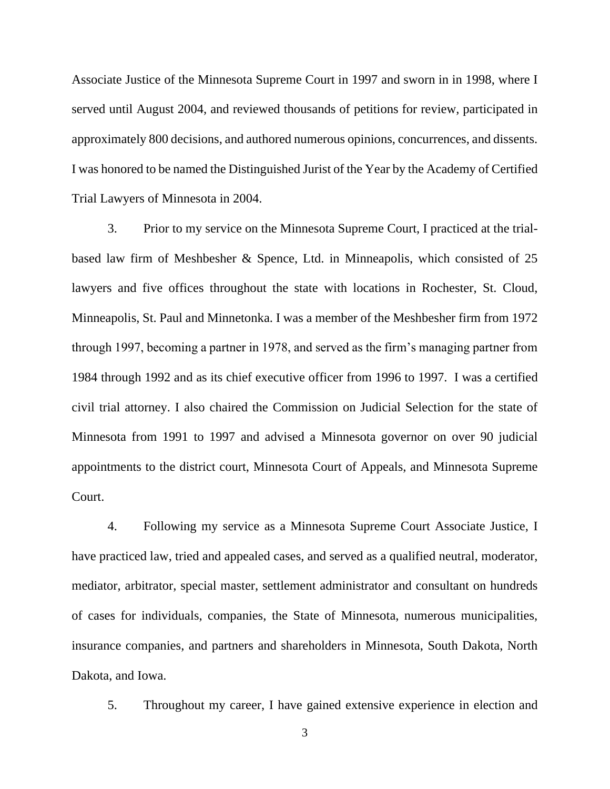Associate Justice of the Minnesota Supreme Court in 1997 and sworn in in 1998, where I served until August 2004, and reviewed thousands of petitions for review, participated in approximately 800 decisions, and authored numerous opinions, concurrences, and dissents. I was honored to be named the Distinguished Jurist of the Year by the Academy of Certified Trial Lawyers of Minnesota in 2004.

3. Prior to my service on the Minnesota Supreme Court, I practiced at the trialbased law firm of Meshbesher & Spence, Ltd. in Minneapolis, which consisted of 25 lawyers and five offices throughout the state with locations in Rochester, St. Cloud, Minneapolis, St. Paul and Minnetonka. I was a member of the Meshbesher firm from 1972 through 1997, becoming a partner in 1978, and served as the firm's managing partner from 1984 through 1992 and as its chief executive officer from 1996 to 1997. I was a certified civil trial attorney. I also chaired the Commission on Judicial Selection for the state of Minnesota from 1991 to 1997 and advised a Minnesota governor on over 90 judicial appointments to the district court, Minnesota Court of Appeals, and Minnesota Supreme Court.

4. Following my service as a Minnesota Supreme Court Associate Justice, I have practiced law, tried and appealed cases, and served as a qualified neutral, moderator, mediator, arbitrator, special master, settlement administrator and consultant on hundreds of cases for individuals, companies, the State of Minnesota, numerous municipalities, insurance companies, and partners and shareholders in Minnesota, South Dakota, North Dakota, and Iowa.

5. Throughout my career, I have gained extensive experience in election and

3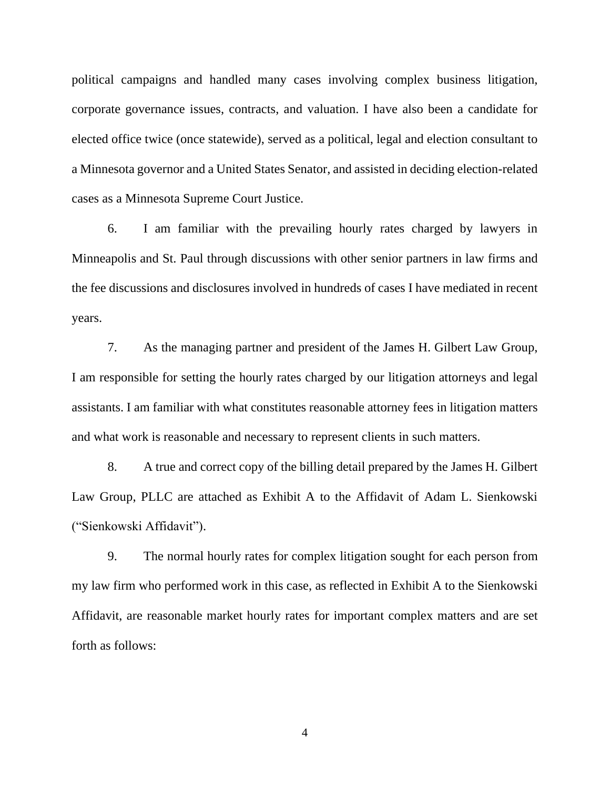political campaigns and handled many cases involving complex business litigation, corporate governance issues, contracts, and valuation. I have also been a candidate for elected office twice (once statewide), served as a political, legal and election consultant to a Minnesota governor and a United States Senator, and assisted in deciding election-related cases as a Minnesota Supreme Court Justice.

6. I am familiar with the prevailing hourly rates charged by lawyers in Minneapolis and St. Paul through discussions with other senior partners in law firms and the fee discussions and disclosures involved in hundreds of cases I have mediated in recent years.

7. As the managing partner and president of the James H. Gilbert Law Group, I am responsible for setting the hourly rates charged by our litigation attorneys and legal assistants. I am familiar with what constitutes reasonable attorney fees in litigation matters and what work is reasonable and necessary to represent clients in such matters.

8. A true and correct copy of the billing detail prepared by the James H. Gilbert Law Group, PLLC are attached as Exhibit A to the Affidavit of Adam L. Sienkowski ("Sienkowski Affidavit").

9. The normal hourly rates for complex litigation sought for each person from my law firm who performed work in this case, as reflected in Exhibit A to the Sienkowski Affidavit, are reasonable market hourly rates for important complex matters and are set forth as follows:

4